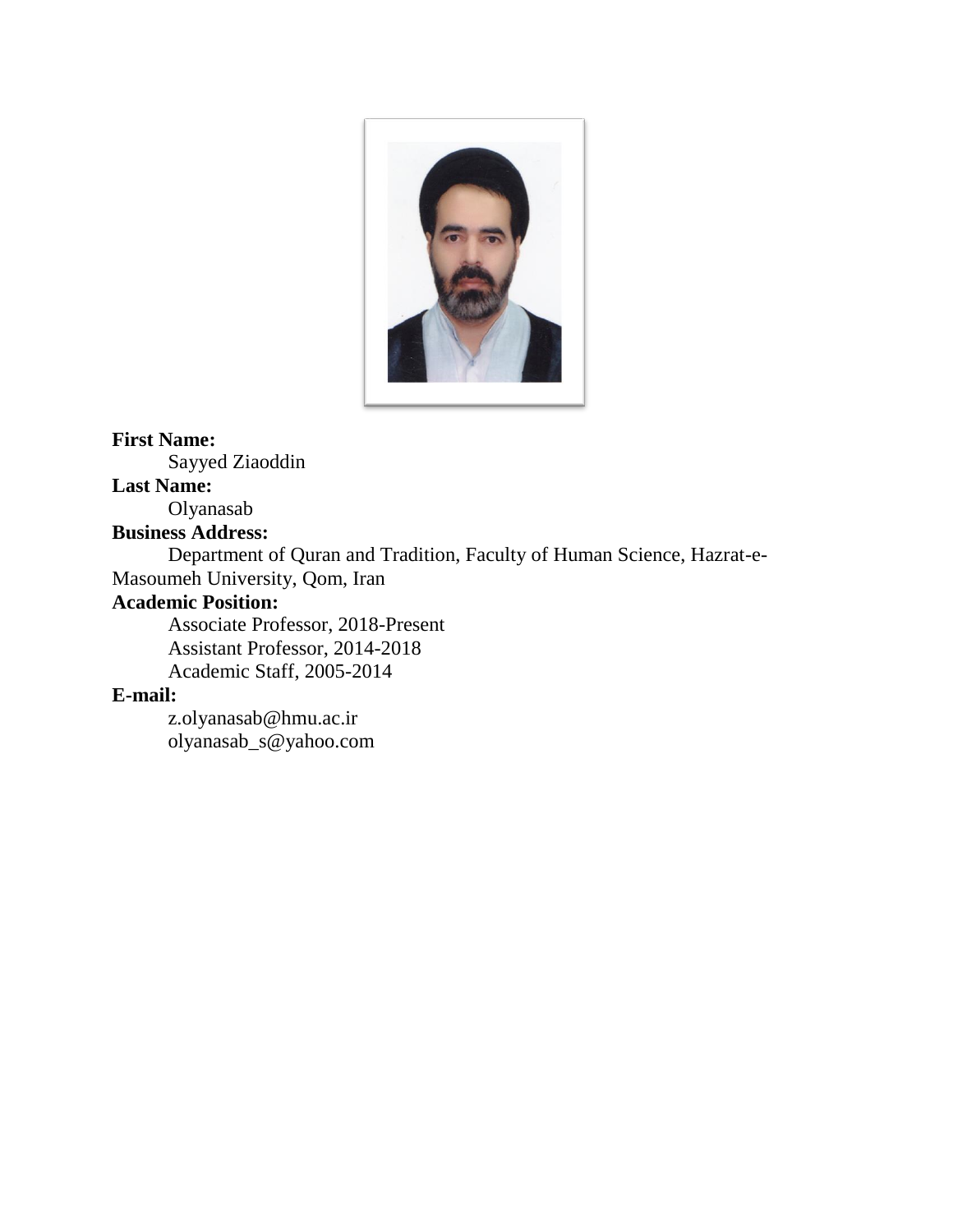

### **First Name:**

Sayyed Ziaoddin

### **Last Name:**

Olyanasab

### **Business Address:**

Department of Quran and Tradition, Faculty of Human Science, Hazrat-e-Masoumeh University, Qom, Iran

### **Academic Position:**

Associate Professor, 2018-Present Assistant Professor, 2014-2018 Academic Staff, 2005-2014

### **E-mail:**

z.olyanasab@hmu.ac.ir olyanasab\_s@yahoo.com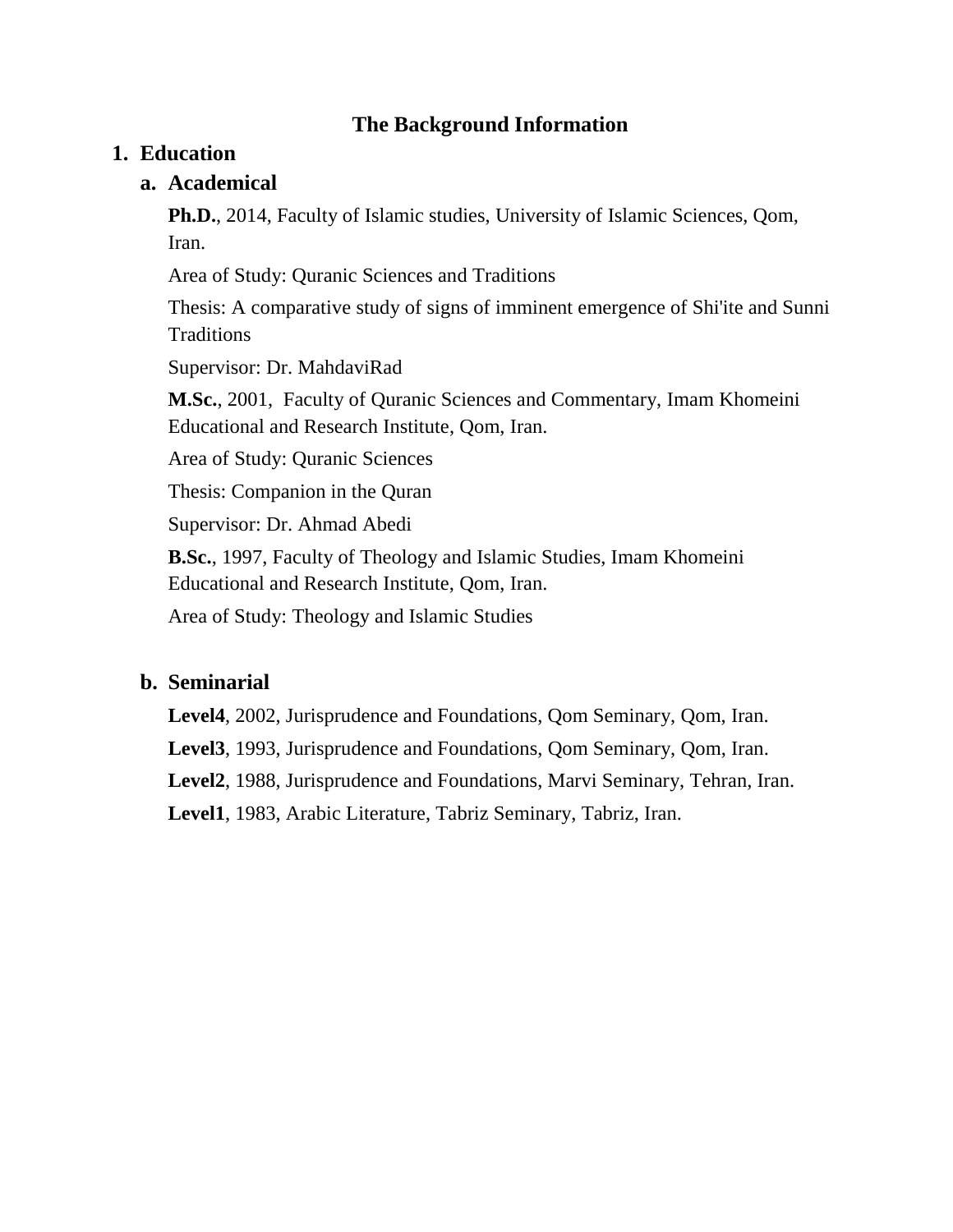### **The Background Information**

### **1. Education**

### **a. Academical**

**Ph.D.**, 2014, Faculty of Islamic studies, University of Islamic Sciences, Qom, Iran.

Area of Study: Quranic Sciences and Traditions

Thesis: A comparative study of signs of imminent emergence of Shi'ite and Sunni **Traditions** 

Supervisor: Dr. MahdaviRad

**M.Sc.**, 2001, Faculty of Quranic Sciences and Commentary, Imam Khomeini Educational and Research Institute, Qom, Iran.

Area of Study: Quranic Sciences

Thesis: Companion in the Quran

Supervisor: Dr. Ahmad Abedi

**B.Sc.**, 1997, Faculty of Theology and Islamic Studies, Imam Khomeini Educational and Research Institute, Qom, Iran.

Area of Study: Theology and Islamic Studies

#### **b. Seminarial**

**Level4**, 2002, Jurisprudence and Foundations, Qom Seminary, Qom, Iran.

**Level3**, 1993, Jurisprudence and Foundations, Qom Seminary, Qom, Iran.

**Level2**, 1988, Jurisprudence and Foundations, Marvi Seminary, Tehran, Iran.

**Level1**, 1983, Arabic Literature, Tabriz Seminary, Tabriz, Iran.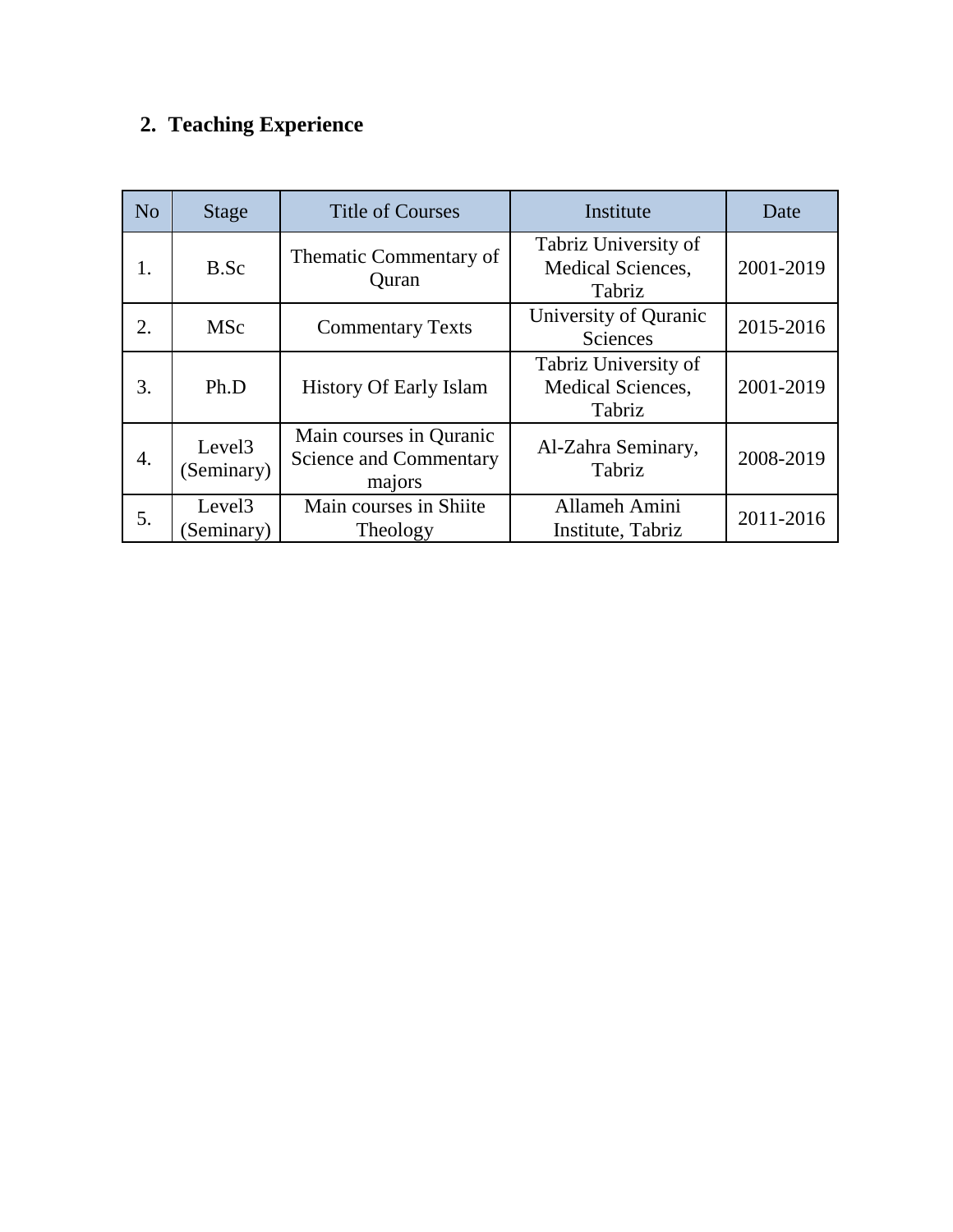# **2. Teaching Experience**

| N <sub>o</sub> | <b>Stage</b>                     | <b>Title of Courses</b>                                     | Institute                                           | Date      |
|----------------|----------------------------------|-------------------------------------------------------------|-----------------------------------------------------|-----------|
| 1.             | B.Sc                             | Thematic Commentary of<br>Quran                             | Tabriz University of<br>Medical Sciences,<br>Tabriz | 2001-2019 |
| 2.             | <b>MSc</b>                       | <b>Commentary Texts</b>                                     | University of Quranic<br>Sciences                   | 2015-2016 |
| 3.             | Ph.D                             | <b>History Of Early Islam</b>                               | Tabriz University of<br>Medical Sciences,<br>Tabriz | 2001-2019 |
| 4.             | Level <sub>3</sub><br>(Seminary) | Main courses in Quranic<br>Science and Commentary<br>majors | Al-Zahra Seminary,<br>Tabriz                        | 2008-2019 |
| 5.             | Level <sub>3</sub><br>Seminary)  | Main courses in Shiite<br>Theology                          | Allameh Amini<br>Institute, Tabriz                  | 2011-2016 |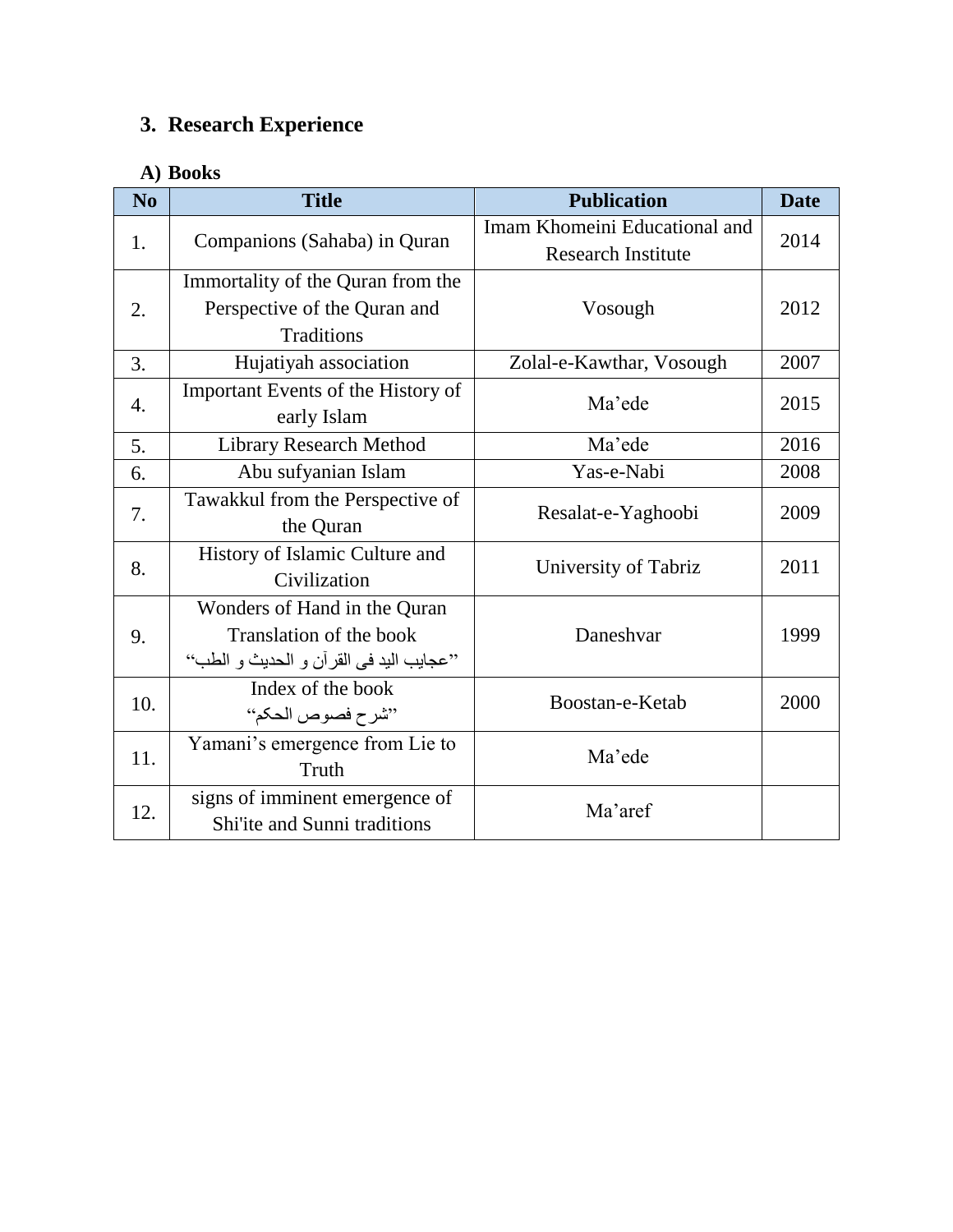### **3. Research Experience**

### **A) Books**

| N <sub>0</sub> | <b>Title</b>                             | <b>Publication</b>            | <b>Date</b> |
|----------------|------------------------------------------|-------------------------------|-------------|
|                | Companions (Sahaba) in Quran             | Imam Khomeini Educational and | 2014        |
| 1.             |                                          | <b>Research Institute</b>     |             |
|                | Immortality of the Quran from the        | Vosough                       | 2012        |
| 2.             | Perspective of the Quran and             |                               |             |
|                | <b>Traditions</b>                        |                               |             |
| 3.             | Hujatiyah association                    | Zolal-e-Kawthar, Vosough      | 2007        |
|                | Important Events of the History of       | Ma'ede                        | 2015        |
| 4.             | early Islam                              |                               |             |
| 5.             | <b>Library Research Method</b>           | Ma'ede                        | 2016        |
| 6.             | Abu sufyanian Islam                      | Yas-e-Nabi                    | 2008        |
| 7.             | Tawakkul from the Perspective of         | Resalat-e-Yaghoobi            | 2009        |
|                | the Quran                                |                               |             |
|                | History of Islamic Culture and           | University of Tabriz          | 2011        |
| 8.             | Civilization                             |                               |             |
|                | Wonders of Hand in the Quran             | Daneshvar                     | 1999        |
| 9.             | Translation of the book                  |                               |             |
|                | ''عجايب اليد في القرآن و الحديث و الطب'' |                               |             |
|                | Index of the book                        |                               | 2000        |
| 10.            | "شرح فصوص الحكم"                         | Boostan-e-Ketab               |             |
|                | Yamani's emergence from Lie to           |                               |             |
| 11.            | Truth                                    | Ma'ede                        |             |
|                | signs of imminent emergence of           |                               |             |
| 12.            | Shi'ite and Sunni traditions             | Ma'aref                       |             |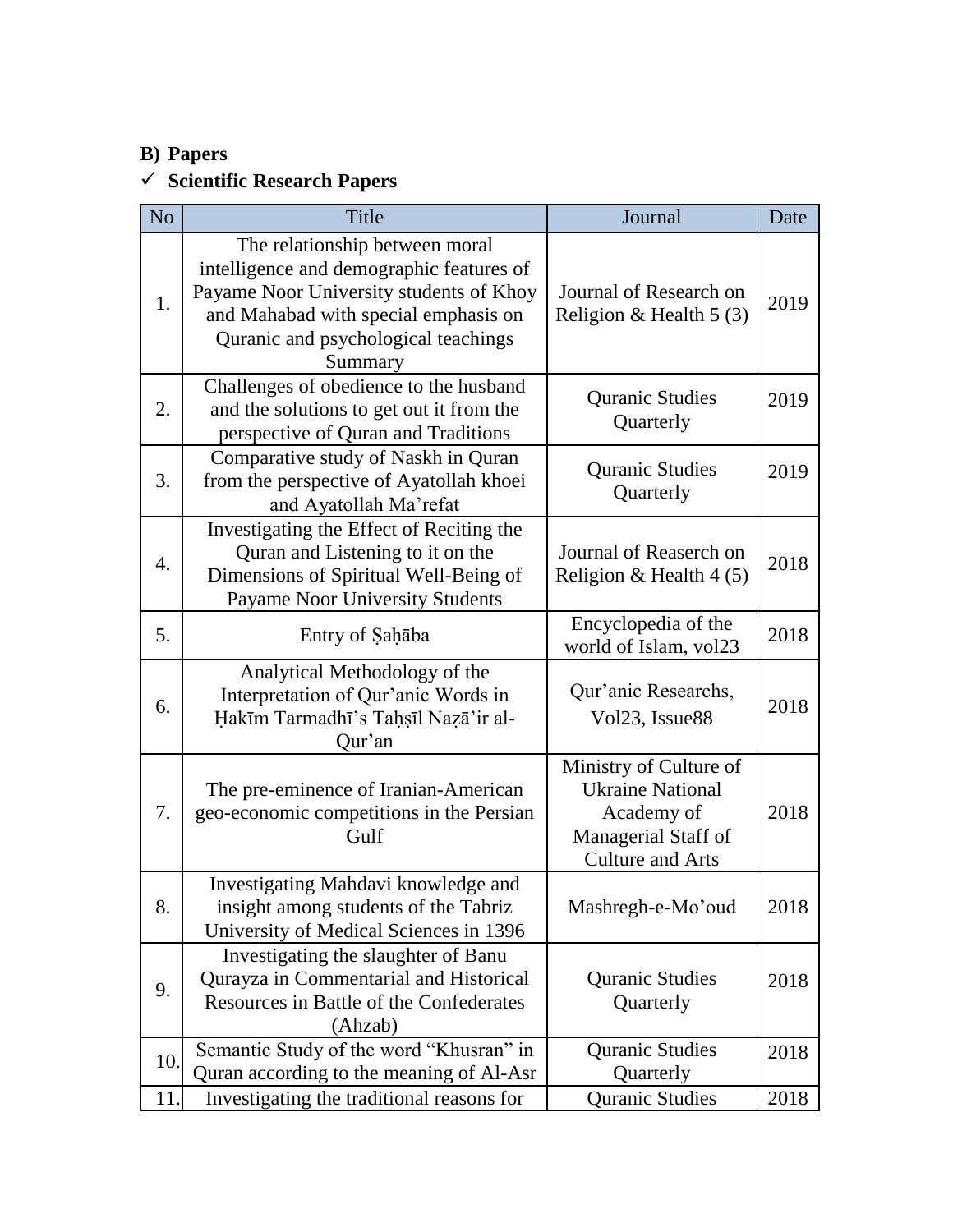### **B) Papers**

# **Scientific Research Papers**

| N <sub>o</sub>   | Title                                                                                                                                                                                                           | Journal                                                                                                           | Date |
|------------------|-----------------------------------------------------------------------------------------------------------------------------------------------------------------------------------------------------------------|-------------------------------------------------------------------------------------------------------------------|------|
| 1.               | The relationship between moral<br>intelligence and demographic features of<br>Payame Noor University students of Khoy<br>and Mahabad with special emphasis on<br>Quranic and psychological teachings<br>Summary | Journal of Research on<br>Religion & Health $5(3)$                                                                | 2019 |
| 2.               | Challenges of obedience to the husband<br>and the solutions to get out it from the<br>perspective of Quran and Traditions                                                                                       | <b>Quranic Studies</b><br>Quarterly                                                                               | 2019 |
| 3.               | Comparative study of Naskh in Quran<br>from the perspective of Ayatollah khoei<br>and Ayatollah Ma'refat                                                                                                        | <b>Quranic Studies</b><br>Quarterly                                                                               | 2019 |
| $\overline{4}$ . | Investigating the Effect of Reciting the<br>Quran and Listening to it on the<br>Dimensions of Spiritual Well-Being of<br><b>Payame Noor University Students</b>                                                 | Journal of Reaserch on<br>Religion & Health $4(5)$                                                                | 2018 |
| 5.               | Entry of Saḥāba                                                                                                                                                                                                 | Encyclopedia of the<br>world of Islam, vol23                                                                      | 2018 |
| 6.               | Analytical Methodology of the<br>Interpretation of Qur'anic Words in<br>Hakīm Tarmadhī's Taḥṣīl Naẓā'ir al-<br>Qur'an                                                                                           | Qur'anic Researchs,<br>Vol23, Issue88                                                                             | 2018 |
| 7.               | The pre-eminence of Iranian-American<br>geo-economic competitions in the Persian<br>Gulf                                                                                                                        | Ministry of Culture of<br><b>Ukraine National</b><br>Academy of<br>Managerial Staff of<br><b>Culture and Arts</b> | 2018 |
| 8.               | Investigating Mahdavi knowledge and<br>insight among students of the Tabriz<br>University of Medical Sciences in 1396                                                                                           | Mashregh-e-Mo'oud                                                                                                 | 2018 |
| 9.               | Investigating the slaughter of Banu<br>Qurayza in Commentarial and Historical<br>Resources in Battle of the Confederates<br>(Ahzab)                                                                             | <b>Quranic Studies</b><br>Quarterly                                                                               | 2018 |
| 10.              | Semantic Study of the word "Khusran" in<br>Quran according to the meaning of Al-Asr                                                                                                                             | <b>Quranic Studies</b><br>Quarterly                                                                               | 2018 |
| 11.              | Investigating the traditional reasons for                                                                                                                                                                       | <b>Quranic Studies</b>                                                                                            | 2018 |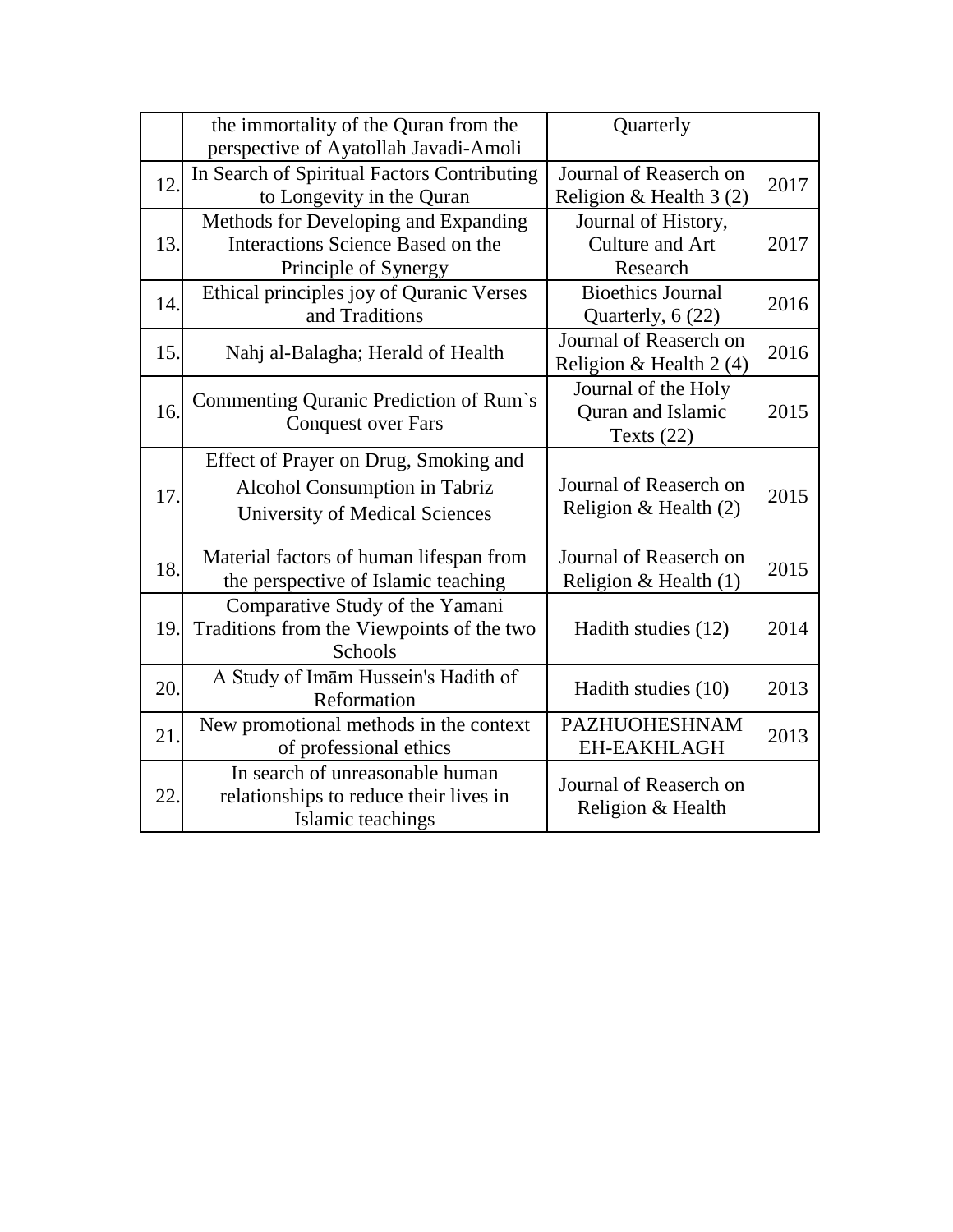|     | the immortality of the Quran from the<br>perspective of Ayatollah Javadi-Amoli                                  | Quarterly                                                |      |
|-----|-----------------------------------------------------------------------------------------------------------------|----------------------------------------------------------|------|
| 12. | In Search of Spiritual Factors Contributing<br>to Longevity in the Quran                                        | Journal of Reaserch on<br>Religion & Health 3 (2)        | 2017 |
| 13. | Methods for Developing and Expanding<br>Interactions Science Based on the<br>Principle of Synergy               | Journal of History,<br>Culture and Art<br>Research       | 2017 |
| 14. | Ethical principles joy of Quranic Verses<br>and Traditions                                                      | <b>Bioethics Journal</b><br>Quarterly, 6 (22)            | 2016 |
| 15. | Nahj al-Balagha; Herald of Health                                                                               | Journal of Reaserch on<br>Religion & Health 2 (4)        | 2016 |
| 16. | Commenting Quranic Prediction of Rum's<br><b>Conquest over Fars</b>                                             | Journal of the Holy<br>Quran and Islamic<br>Texts $(22)$ | 2015 |
| 17. | Effect of Prayer on Drug, Smoking and<br>Alcohol Consumption in Tabriz<br><b>University of Medical Sciences</b> | Journal of Reaserch on<br>Religion & Health $(2)$        | 2015 |
| 18. | Material factors of human lifespan from<br>the perspective of Islamic teaching                                  | Journal of Reaserch on<br>Religion & Health $(1)$        | 2015 |
| 19. | Comparative Study of the Yamani<br>Traditions from the Viewpoints of the two<br>Schools                         | Hadith studies (12)                                      | 2014 |
| 20. | A Study of Imam Hussein's Hadith of<br>Reformation                                                              | Hadith studies (10)                                      | 2013 |
| 21. | New promotional methods in the context<br>of professional ethics                                                | <b>PAZHUOHESHNAM</b><br><b>EH-EAKHLAGH</b>               | 2013 |
| 22. | In search of unreasonable human<br>relationships to reduce their lives in<br>Islamic teachings                  | Journal of Reaserch on<br>Religion & Health              |      |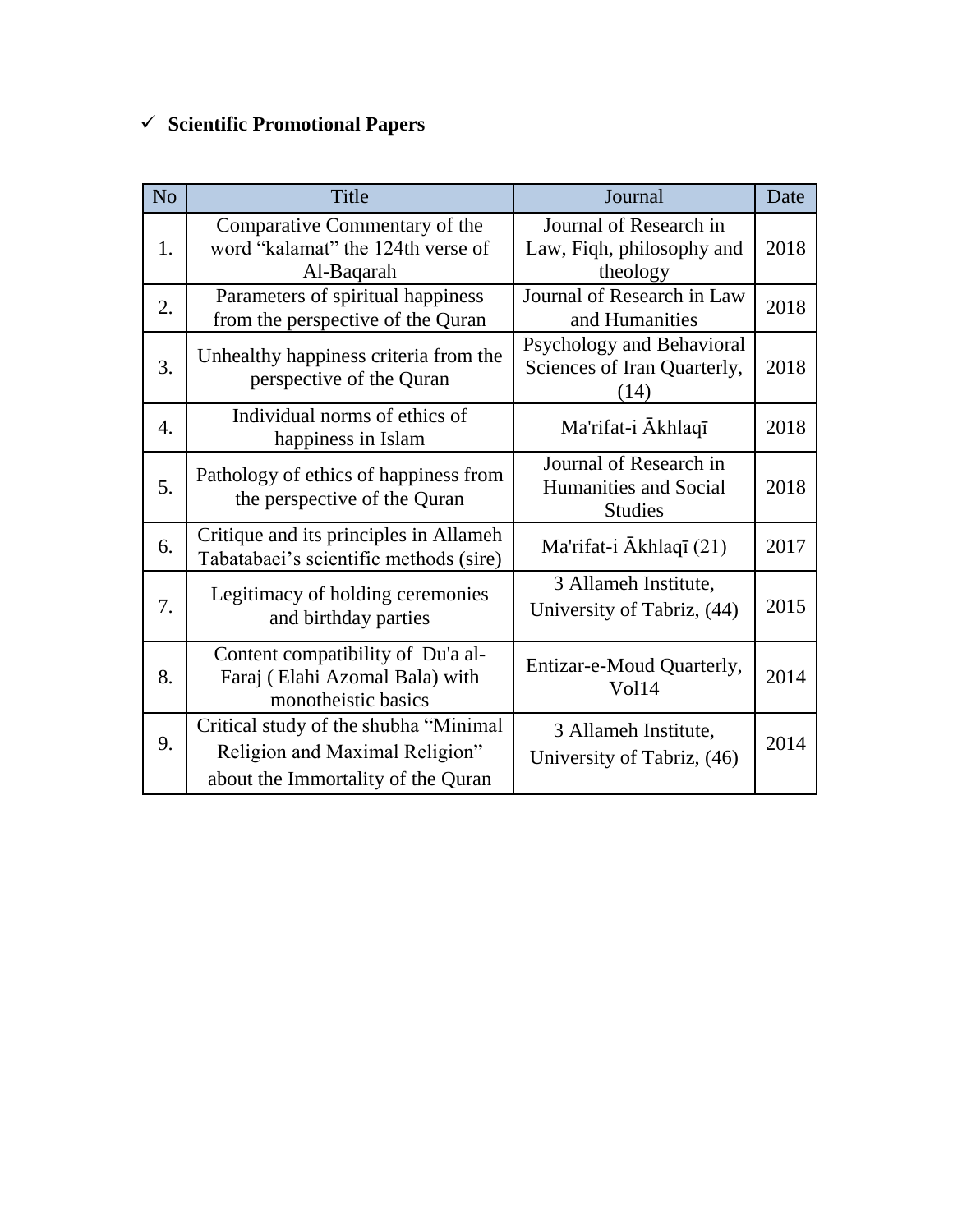# **Scientific Promotional Papers**

| N <sub>o</sub>   | Title                                                                                                          | Journal                                                           | Date |
|------------------|----------------------------------------------------------------------------------------------------------------|-------------------------------------------------------------------|------|
| 1.               | Comparative Commentary of the<br>word "kalamat" the 124th verse of<br>Al-Baqarah                               | Journal of Research in<br>Law, Fiqh, philosophy and<br>theology   | 2018 |
| 2.               | Parameters of spiritual happiness<br>from the perspective of the Quran                                         | Journal of Research in Law<br>and Humanities                      | 2018 |
| 3.               | Unhealthy happiness criteria from the<br>perspective of the Quran                                              | Psychology and Behavioral<br>Sciences of Iran Quarterly,<br>(14)  | 2018 |
| $\overline{4}$ . | Individual norms of ethics of<br>happiness in Islam                                                            | Ma'rifat-i Akhlaqī                                                | 2018 |
| 5.               | Pathology of ethics of happiness from<br>the perspective of the Quran                                          | Journal of Research in<br>Humanities and Social<br><b>Studies</b> | 2018 |
| 6.               | Critique and its principles in Allameh<br>Tabatabaei's scientific methods (sire)                               | Ma'rifat-i $\bar{A}$ khlaqī (21)                                  | 2017 |
| 7.               | Legitimacy of holding ceremonies<br>and birthday parties                                                       | 3 Allameh Institute,<br>University of Tabriz, (44)                | 2015 |
| 8.               | Content compatibility of Du'a al-<br>Faraj (Elahi Azomal Bala) with<br>monotheistic basics                     | Entizar-e-Moud Quarterly,<br>Vol14                                | 2014 |
| 9.               | Critical study of the shubha "Minimal"<br>Religion and Maximal Religion"<br>about the Immortality of the Quran | 3 Allameh Institute,<br>University of Tabriz, (46)                | 2014 |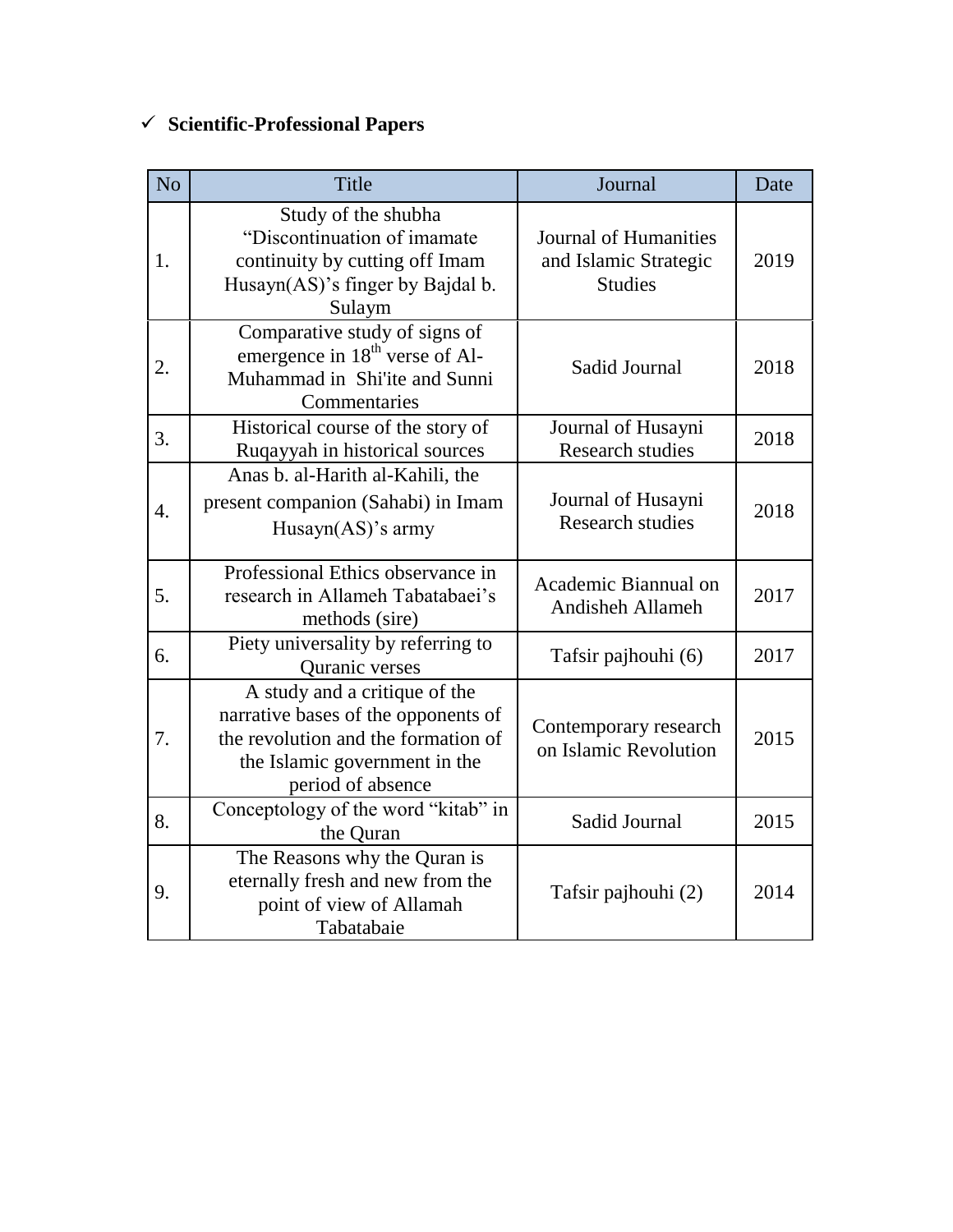# **Scientific-Professional Papers**

| N <sub>o</sub> | Title                                                                                                                                                             | Journal                                                          | Date |
|----------------|-------------------------------------------------------------------------------------------------------------------------------------------------------------------|------------------------------------------------------------------|------|
| 1.             | Study of the shubha<br>"Discontinuation of imamate<br>continuity by cutting off Imam<br>Husayn(AS)'s finger by Bajdal b.<br>Sulaym                                | Journal of Humanities<br>and Islamic Strategic<br><b>Studies</b> | 2019 |
| 2.             | Comparative study of signs of<br>emergence in 18 <sup>th</sup> verse of Al-<br>Muhammad in Shi'ite and Sunni<br>Commentaries                                      | Sadid Journal                                                    | 2018 |
| 3.             | Historical course of the story of<br>Ruqayyah in historical sources                                                                                               | Journal of Husayni<br><b>Research studies</b>                    | 2018 |
| 4.             | Anas b. al-Harith al-Kahili, the<br>present companion (Sahabi) in Imam<br>Husayn $(AS)$ 's army                                                                   | Journal of Husayni<br><b>Research studies</b>                    | 2018 |
| 5.             | Professional Ethics observance in<br>research in Allameh Tabatabaei's<br>methods (sire)                                                                           | Academic Biannual on<br><b>Andisheh Allameh</b>                  | 2017 |
| 6.             | Piety universality by referring to<br>Quranic verses                                                                                                              | Tafsir pajhouhi (6)                                              | 2017 |
| 7.             | A study and a critique of the<br>narrative bases of the opponents of<br>the revolution and the formation of<br>the Islamic government in the<br>period of absence | Contemporary research<br>on Islamic Revolution                   | 2015 |
| 8.             | Conceptology of the word "kitab" in<br>the Quran                                                                                                                  | Sadid Journal                                                    | 2015 |
| 9.             | The Reasons why the Quran is<br>eternally fresh and new from the<br>point of view of Allamah<br>Tabatabaie                                                        | Tafsir pajhouhi (2)                                              | 2014 |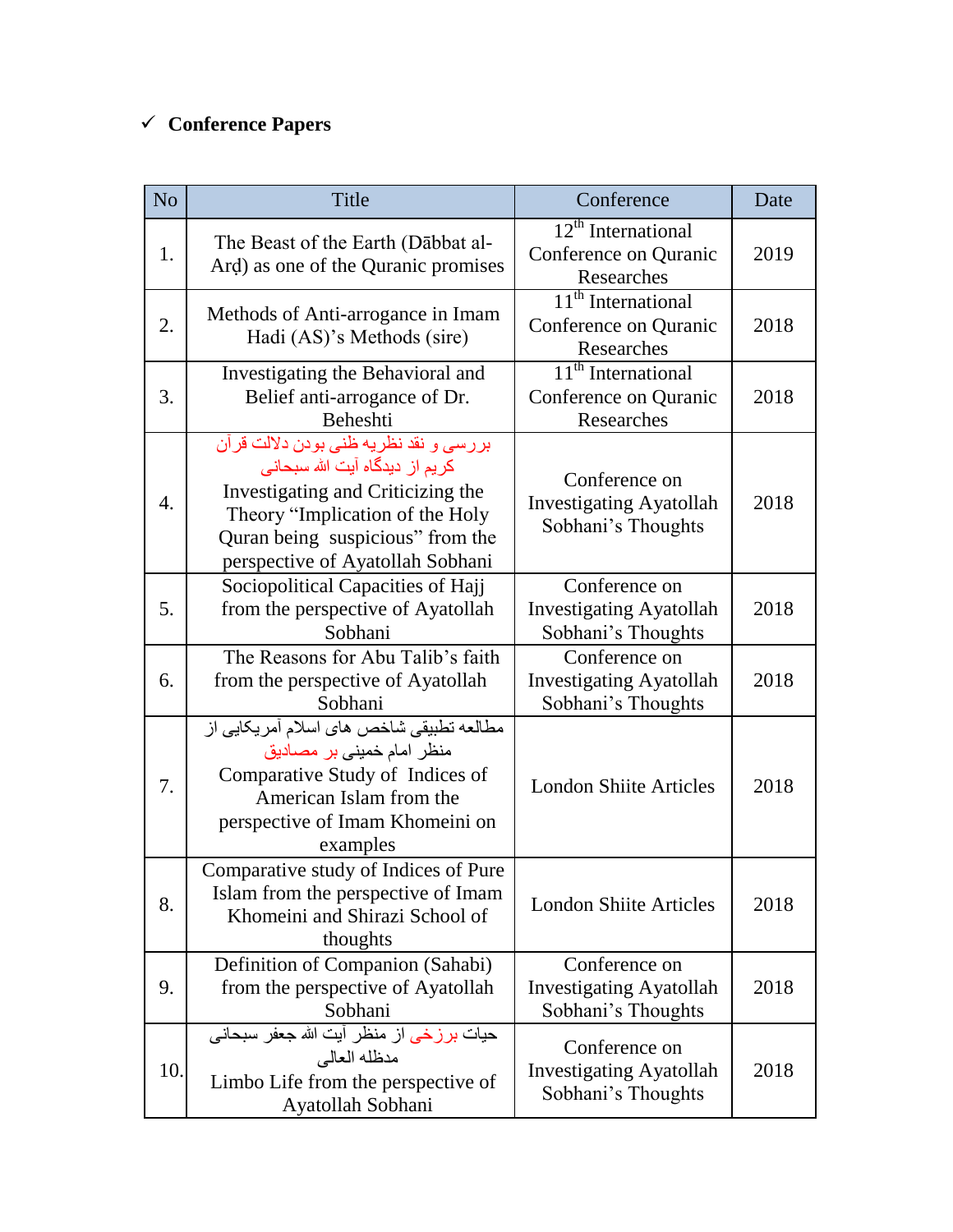# **Conference Papers**

| N <sub>o</sub>   | Title                                                                                                                                                                                                                   | Conference                                                                       | Date |
|------------------|-------------------------------------------------------------------------------------------------------------------------------------------------------------------------------------------------------------------------|----------------------------------------------------------------------------------|------|
| 1.               | The Beast of the Earth (Dabbat al-<br>Ard) as one of the Quranic promises                                                                                                                                               | $12th$ International<br>Conference on Quranic<br>Researches                      | 2019 |
| 2.               | Methods of Anti-arrogance in Imam<br>Hadi (AS)'s Methods (sire)                                                                                                                                                         | $11th$ International<br>Conference on Quranic<br>Researches                      | 2018 |
| 3.               | Investigating the Behavioral and<br>Belief anti-arrogance of Dr.<br>Beheshti                                                                                                                                            | $\overline{11}^{\text{th}}$ International<br>Conference on Quranic<br>Researches | 2018 |
| $\overline{4}$ . | بررسي و نقد نظريه ظني بودن دلالت قرآن<br>کریم از دیدگاه آیت الله سبحانی<br>Investigating and Criticizing the<br>Theory "Implication of the Holy<br>Quran being suspicious" from the<br>perspective of Ayatollah Sobhani | Conference on<br><b>Investigating Ayatollah</b><br>Sobhani's Thoughts            | 2018 |
| 5.               | Sociopolitical Capacities of Hajj<br>from the perspective of Ayatollah<br>Sobhani                                                                                                                                       | Conference on<br><b>Investigating Ayatollah</b><br>Sobhani's Thoughts            | 2018 |
| 6.               | The Reasons for Abu Talib's faith<br>from the perspective of Ayatollah<br>Sobhani                                                                                                                                       | Conference on<br><b>Investigating Ayatollah</b><br>Sobhani's Thoughts            | 2018 |
| 7.               | مطالعه تطبیقی شاخص های اسلام أمریکایی از<br>منظر امام خمینی بر مصادیق<br>Comparative Study of Indices of<br>American Islam from the<br>perspective of Imam Khomeini on<br>examples                                      | <b>London Shiite Articles</b>                                                    | 2018 |
| 8.               | Comparative study of Indices of Pure<br>Islam from the perspective of Imam<br>Khomeini and Shirazi School of<br>thoughts                                                                                                | <b>London Shiite Articles</b>                                                    | 2018 |
| 9.               | Definition of Companion (Sahabi)<br>from the perspective of Ayatollah<br>Sobhani                                                                                                                                        | Conference on<br><b>Investigating Ayatollah</b><br>Sobhani's Thoughts            | 2018 |
| 10.              | حیات برزخی از منظر آیت الله جعفر سبحانی<br>مدظله العالي<br>Limbo Life from the perspective of<br>Ayatollah Sobhani                                                                                                      | Conference on<br><b>Investigating Ayatollah</b><br>Sobhani's Thoughts            | 2018 |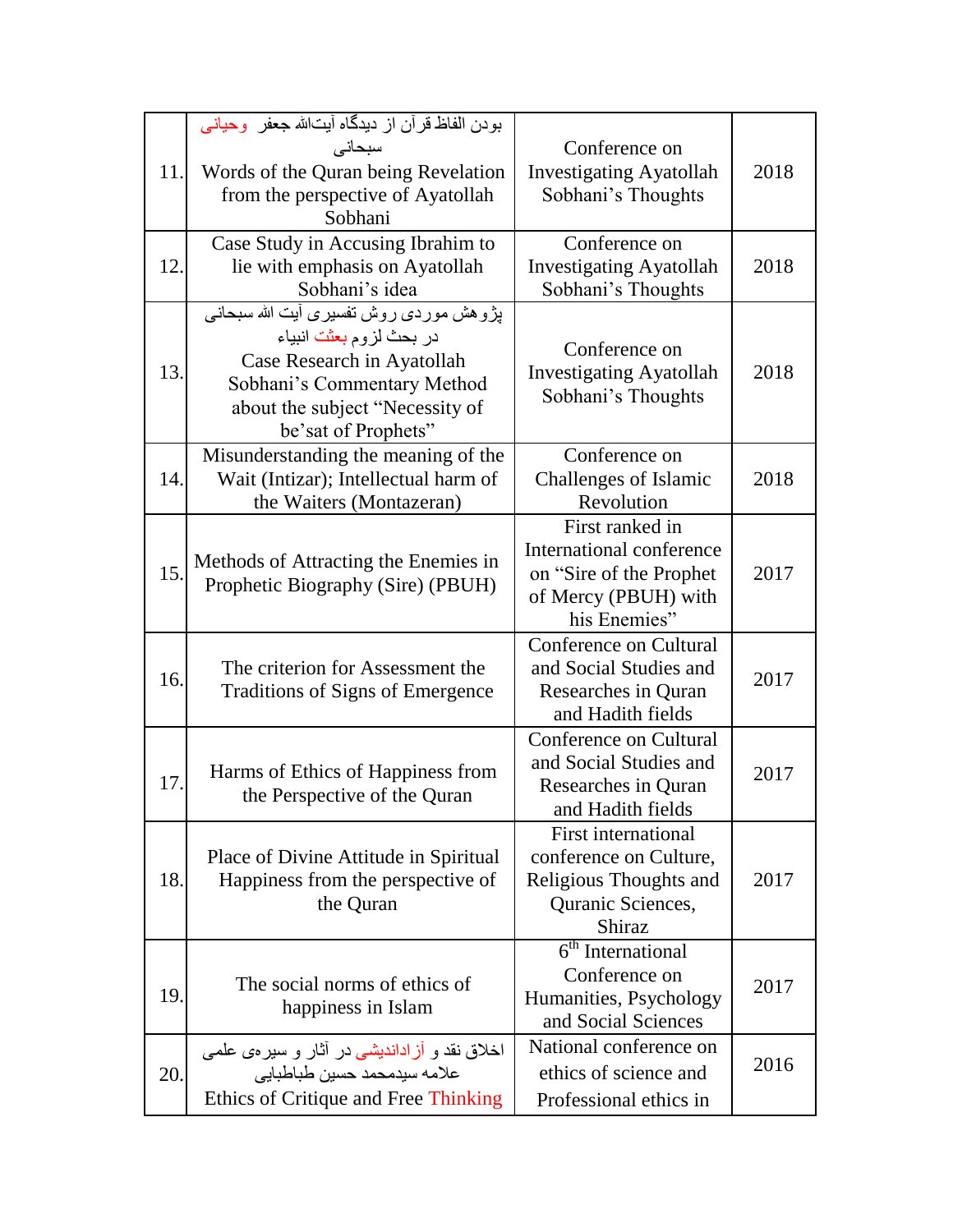| 11. | بودن الفاظ قرآن از ديدگاه آيتالله جعفر وحياني<br>سبحانى<br>Words of the Quran being Revelation<br>from the perspective of Ayatollah<br>Sobhani                                           | Conference on<br><b>Investigating Ayatollah</b><br>Sobhani's Thoughts                                           | 2018 |
|-----|------------------------------------------------------------------------------------------------------------------------------------------------------------------------------------------|-----------------------------------------------------------------------------------------------------------------|------|
| 12. | Case Study in Accusing Ibrahim to<br>lie with emphasis on Ayatollah<br>Sobhani's idea                                                                                                    | Conference on<br><b>Investigating Ayatollah</b><br>Sobhani's Thoughts                                           | 2018 |
| 13. | پڑوهش موردی روش تفسیری آیت الله سبحانی<br>در بحث لزوم بعثت انبياء<br>Case Research in Ayatollah<br>Sobhani's Commentary Method<br>about the subject "Necessity of<br>be'sat of Prophets" | Conference on<br><b>Investigating Ayatollah</b><br>Sobhani's Thoughts                                           | 2018 |
| 14. | Misunderstanding the meaning of the<br>Wait (Intizar); Intellectual harm of<br>the Waiters (Montazeran)                                                                                  | Conference on<br>Challenges of Islamic<br>Revolution                                                            | 2018 |
| 15. | Methods of Attracting the Enemies in<br>Prophetic Biography (Sire) (PBUH)                                                                                                                | First ranked in<br>International conference<br>on "Sire of the Prophet"<br>of Mercy (PBUH) with<br>his Enemies" | 2017 |
| 16. | The criterion for Assessment the<br>Traditions of Signs of Emergence                                                                                                                     | Conference on Cultural<br>and Social Studies and<br>Researches in Quran<br>and Hadith fields                    | 2017 |
| 17. | Harms of Ethics of Happiness from<br>the Perspective of the Quran                                                                                                                        | Conference on Cultural<br>and Social Studies and<br>Researches in Quran<br>and Hadith fields                    | 2017 |
| 18. | Place of Divine Attitude in Spiritual<br>Happiness from the perspective of<br>the Quran                                                                                                  | First international<br>conference on Culture,<br>Religious Thoughts and<br>Quranic Sciences,<br>Shiraz          | 2017 |
| 19. | The social norms of ethics of<br>happiness in Islam                                                                                                                                      | $6th$ International<br>Conference on<br>Humanities, Psychology<br>and Social Sciences                           | 2017 |
| 20. | اخلاق نقد و آزاداندیشی در آثار و سیره یعلم <i>ی</i><br>علامه سيدمحمد حسين طباطبايي<br>Ethics of Critique and Free Thinking                                                               | National conference on<br>ethics of science and<br>Professional ethics in                                       | 2016 |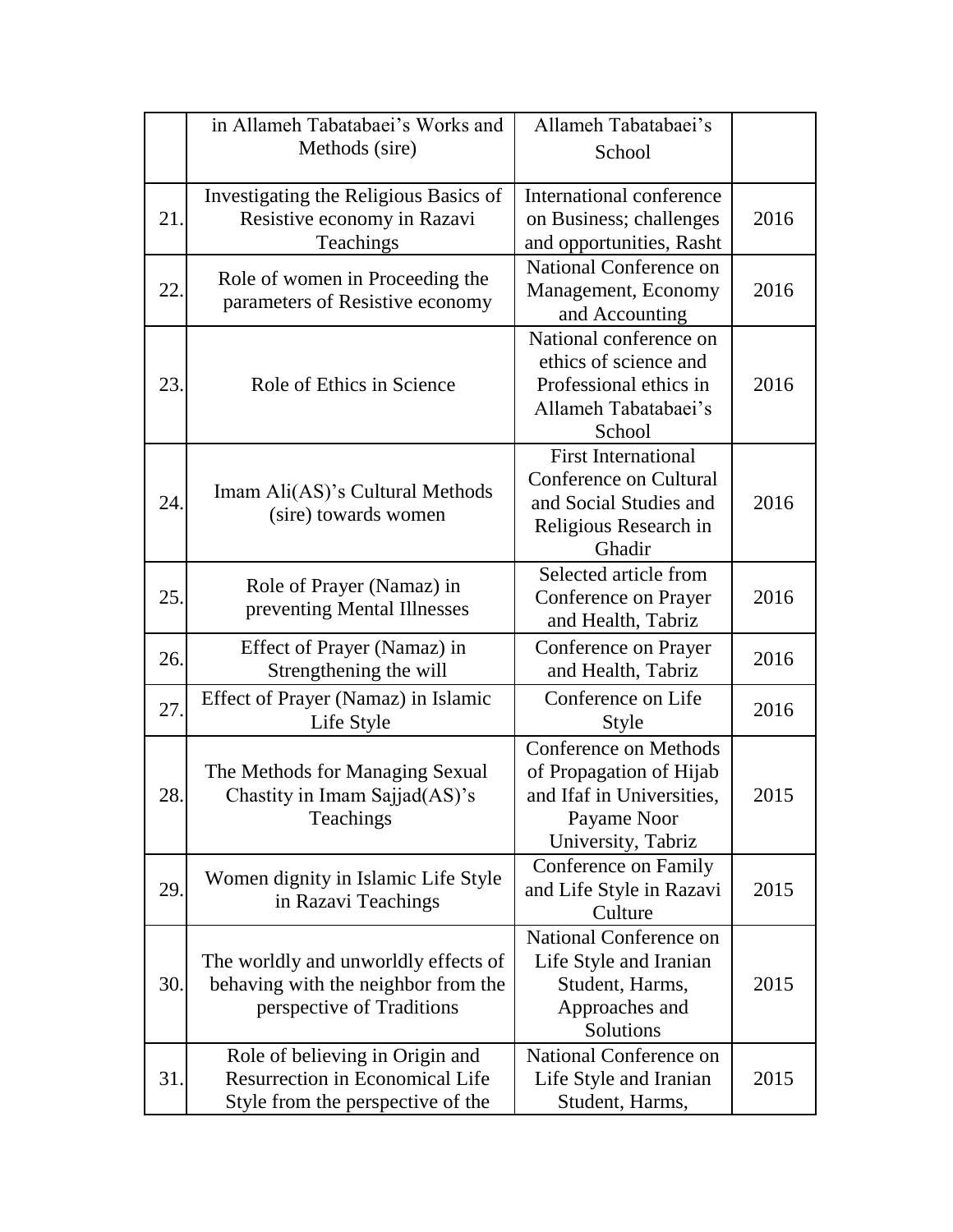|     | in Allameh Tabatabaei's Works and                                  | Allameh Tabatabaei's       |      |
|-----|--------------------------------------------------------------------|----------------------------|------|
|     | Methods (sire)                                                     | School                     |      |
|     |                                                                    |                            |      |
|     | Investigating the Religious Basics of                              | International conference   |      |
| 21  | Resistive economy in Razavi                                        | on Business; challenges    | 2016 |
|     | Teachings                                                          | and opportunities, Rasht   |      |
|     |                                                                    | National Conference on     |      |
| 22. | Role of women in Proceeding the<br>parameters of Resistive economy | Management, Economy        | 2016 |
|     |                                                                    | and Accounting             |      |
|     |                                                                    | National conference on     |      |
|     |                                                                    | ethics of science and      |      |
| 23. | Role of Ethics in Science                                          | Professional ethics in     | 2016 |
|     |                                                                    | Allameh Tabatabaei's       |      |
|     |                                                                    | School                     |      |
|     |                                                                    | <b>First International</b> |      |
|     | Imam Ali(AS)'s Cultural Methods                                    | Conference on Cultural     |      |
| 24. | (sire) towards women                                               | and Social Studies and     | 2016 |
|     |                                                                    | Religious Research in      |      |
|     |                                                                    | Ghadir                     |      |
|     | Role of Prayer (Namaz) in                                          | Selected article from      |      |
| 25. | preventing Mental Illnesses                                        | Conference on Prayer       | 2016 |
|     |                                                                    | and Health, Tabriz         |      |
| 26. | Effect of Prayer (Namaz) in                                        | Conference on Prayer       | 2016 |
|     | Strengthening the will                                             | and Health, Tabriz         |      |
| 27. | Effect of Prayer (Namaz) in Islamic                                | Conference on Life         | 2016 |
|     | Life Style                                                         | Style                      |      |
|     |                                                                    | Conference on Methods      |      |
|     | The Methods for Managing Sexual                                    | of Propagation of Hijab    |      |
| 28. | Chastity in Imam Sajjad(AS)'s                                      | and Ifaf in Universities,  | 2015 |
|     | Teachings                                                          | Payame Noor                |      |
|     |                                                                    | University, Tabriz         |      |
|     | Women dignity in Islamic Life Style                                | Conference on Family       |      |
| 29. | in Razavi Teachings                                                | and Life Style in Razavi   | 2015 |
|     |                                                                    | Culture                    |      |
|     |                                                                    | National Conference on     |      |
|     | The worldly and unworldly effects of                               | Life Style and Iranian     |      |
| 30. | behaving with the neighbor from the                                | Student, Harms,            | 2015 |
|     | perspective of Traditions                                          | Approaches and             |      |
|     |                                                                    | Solutions                  |      |
|     | Role of believing in Origin and                                    | National Conference on     |      |
| 31. | <b>Resurrection in Economical Life</b>                             | Life Style and Iranian     | 2015 |
|     | Style from the perspective of the                                  | Student, Harms,            |      |